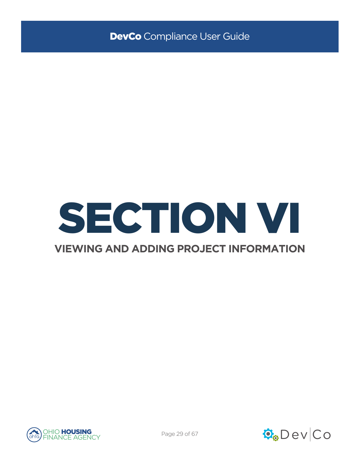

### **VIEWING AND ADDING PROJECT INFORMATION**



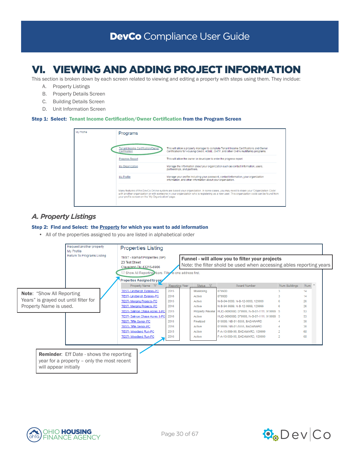# VI. VIEWING AND ADDING PROJECT INFORMATION

This section is broken down by each screen related to viewing and editing a property with steps using them. They incldue:

- A. Property Listings
- B. Property Details Screen
- C. Building Details Screen
- D. Unit Information Screen

#### Step 1: Select: Tenant Income Certification/Owner Certification from the Program Screen



### *A. Property Listings*

#### Step 2: Find and Select: the **Property** for which you want to add information

• All of the properties assigned to you are listed in alphabetical order





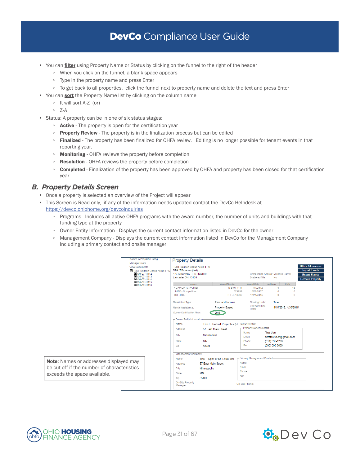- You can filter using Property Name or Status by clicking on the funnel to the right of the header
	- When you click on the funnel, a blank space appears
	- Type in the property name and press Enter
	- To get back to all properties, click the funnel next to property name and delete the text and press Enter
- You can **sort** the Property Name list by clicking on the column name
	- It will sort A-Z (or)
	- Z-A
- Status: A property can be in one of six status stages:
	- Active The property is open for the certification year
	- Property Review The property is in the finalization process but can be edited
	- Finalized The property has been finalized for OHFA review. Editing is no longer possible for tenant events in that reporting year.
	- Monitoring OHFA reviews the property before completion
	- Resolution OHFA reviews the property before completion
	- Completed Finalization of the property has been approved by OHFA and property has been closed for that certification year

### *B. Property Details Screen*

- Once a property is selected an overview of the Project will appear
- This Screen is Read-only, if any of the information needs updated contact the DevCo Helpdesk at <https://devco.ohiohome.org/devcoinquiries>
	- Programs Includes all active OHFA programs with the award number, the number of units and buildings with that funding type at the property
	- Owner Entity Information Displays the current contact information listed in DevCo for the owner
	- Management Company Displays the current contact information listed in DevCo for the Management Company including a primary contact and onsite manager





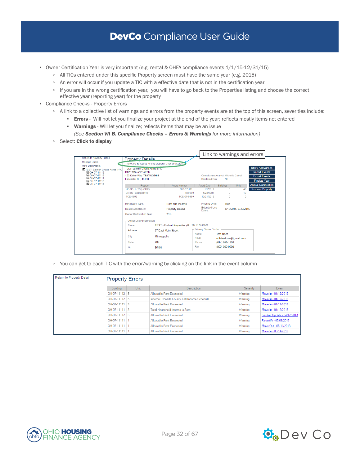- Owner Certification Year is very important (e.g. rental & OHFA compliance events  $1/1/15$ -12/31/15)
	- All TICs entered under this specific Property screen must have the same year (e.g. 2015)
	- An error will occur if you update a TIC with a effective date that is not in the certification year
	- If you are in the wrong certification year, you will have to go back to the Properties listing and choose the correct effective year (reporting year) for the property
- Compliance Checks Property Errors
	- A link to a collective list of warnings and errors from the property events are at the top of this screen, severities include:
		- **Errors** Will not let you finalize your project at the end of the year; reflects mostly items not entered
		- Warnings Will let you finalize; reflects items that may be an issue
		- *(See Section VII B. Compliance Checks Errors & Warnings for more information)*
	- Select: Click to display

|                                                                                                                          |                                                                                                                       |                    |                                     |               |                               | Link to warnings and errors                       |                      |          |                                                                                                   |  |
|--------------------------------------------------------------------------------------------------------------------------|-----------------------------------------------------------------------------------------------------------------------|--------------------|-------------------------------------|---------------|-------------------------------|---------------------------------------------------|----------------------|----------|---------------------------------------------------------------------------------------------------|--|
| Return to Property Listing                                                                                               | <b>Property Details</b>                                                                                               |                    |                                     |               |                               |                                                   |                      |          |                                                                                                   |  |
| <b>Manage Users</b>                                                                                                      | There are 35 issues for this property. Click to display.                                                              |                    |                                     |               |                               |                                                   |                      |          |                                                                                                   |  |
| <b>View Documents</b><br>E TEST-Salmon Chase Acres II-PC<br>OH-07-11112<br>OH-07-11113<br>E OH-07-11114<br>E OH-07-11115 | <b>TEST-Salmon Chase Acres II-PC</b><br>DBA: Tiffin Acres (test)<br>123 Kirker Way TESTINGTHIS<br>Lancaster OH, 43130 |                    |                                     |               | Scattered Site:               | Compliance Analyst: Michelle Carroll<br><b>No</b> |                      |          | <b>Utility Allowances</b><br><b>Import Events</b><br><b>Export Events</b><br><b>Finalize Year</b> |  |
| E OH-07-11116                                                                                                            | Program                                                                                                               |                    | Award Number                        |               | Award Date                    | <b>Buildings</b>                                  | <b>Units</b>         |          | <b>Annual Certification</b>                                                                       |  |
|                                                                                                                          | HDAP-LIHTC(HOME)                                                                                                      |                    | N-B-07-1111                         |               | 1/1/2012                      | 5.                                                | 48                   |          | <b>Remove Property</b>                                                                            |  |
|                                                                                                                          | LIHTC - Competitive                                                                                                   |                    | 079999                              |               | 5/28/2007                     | $\Omega$                                          | 10                   |          |                                                                                                   |  |
|                                                                                                                          | <b>TCF-1602</b>                                                                                                       |                    | TCF-07-9999                         |               | 12/21/2015                    | $\sqrt{2}$                                        |                      | $\Omega$ |                                                                                                   |  |
|                                                                                                                          | <b>Restriction Type:</b>                                                                                              |                    | Rent and Income                     |               | <b>Floating Units:</b>        | True                                              |                      |          |                                                                                                   |  |
|                                                                                                                          | Rental Assistance:                                                                                                    |                    | <b>Property Based</b>               |               | <b>Extended Use</b><br>Dates: |                                                   | 4/15/2015. 4/30/2015 |          |                                                                                                   |  |
|                                                                                                                          | Owner Certification Year:                                                                                             |                    | 2015                                |               |                               |                                                   |                      |          |                                                                                                   |  |
|                                                                                                                          | -Owner Entity Information                                                                                             |                    |                                     |               |                               |                                                   |                      |          |                                                                                                   |  |
|                                                                                                                          | Name                                                                                                                  |                    | <b>TEST - Earhart Properites (G</b> |               | <b>Tax ID Number</b>          |                                                   |                      |          |                                                                                                   |  |
|                                                                                                                          | <b>Address</b>                                                                                                        |                    | 57 Fast Main Street                 |               | -Primary Owner Contact-       |                                                   |                      |          |                                                                                                   |  |
|                                                                                                                          | City                                                                                                                  | <b>Minneapolis</b> |                                     | Name<br>Fmail |                               | <b>Test User</b><br>ohfatestuser@gmail.com        |                      |          |                                                                                                   |  |
|                                                                                                                          | <b>State</b>                                                                                                          | <b>MN</b>          |                                     |               | Phone                         | (614) 995-1208                                    |                      |          |                                                                                                   |  |
|                                                                                                                          | Zip                                                                                                                   | 55401              |                                     | Fax           |                               | (000) 000-0000                                    |                      |          |                                                                                                   |  |
|                                                                                                                          |                                                                                                                       |                    |                                     |               |                               |                                                   |                      |          |                                                                                                   |  |

◦ You can get to each TIC with the error/warning by clicking on the link in the event column

| Return to Property Detail |                 | <b>Property Errors</b> |                                           |          |                             |  |  |  |  |  |
|---------------------------|-----------------|------------------------|-------------------------------------------|----------|-----------------------------|--|--|--|--|--|
|                           | <b>Building</b> | <b>Unit</b>            | <b>Description</b>                        | Severity | Event                       |  |  |  |  |  |
|                           | OH-07-11112 5   |                        | Allowable Rent Exceeded                   | Warning  | Move In - 04/12/2013        |  |  |  |  |  |
|                           | OH-07-11112 5   |                        | Income Exceeds County AMI Income Schedule | Warning  | Move In - 04/12/2013        |  |  |  |  |  |
|                           | OH-07-11111 3   |                        | Allowable Rent Exceeded                   | Warning  | Move In - 04/12/2013        |  |  |  |  |  |
|                           | OH-07-11111 3   |                        | Total Household Income Is Zero            | Warning  | Move In - 04/12/2013        |  |  |  |  |  |
|                           | OH-07-11112 5   |                        | Allowable Rent Exceeded                   | Warning  | Student Update - 04/12/2013 |  |  |  |  |  |
|                           | OH-07-11111 1   |                        | Allowable Rent Exceeded                   | Warning  | Recertify - 05/06/2013      |  |  |  |  |  |
|                           | OH-07-11111 1   |                        | Allowable Rent Exceeded                   | Warning  | Move Out - 05/11/2013       |  |  |  |  |  |
|                           | OH-07-11111 1   |                        | Allowable Rent Exceeded                   | Warning  | Move In - 05/14/2013        |  |  |  |  |  |

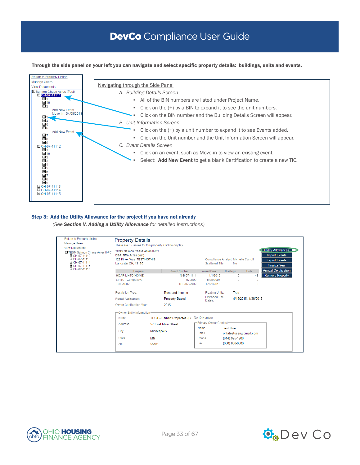Through the side panel on your left you can navigate and select specific property details: buildings, units and events.



#### Step 3: Add the Utility Allowance for the project if you have not already

*(See Section V. Adding a Utility Allowance for detailed instructions)*

| Return to Property Listing<br><b>Manage Users</b><br><b>View Documents</b><br>E TEST-Salmon Chase Acres II-PC<br>OH-07-11112<br>DOH-07-11113<br>OH-07-11114<br>DOH-07-11115<br>OH-07-11116 | <b>Property Details</b><br>There are 35 issues for this property. Click to display.<br><b>TEST-Salmon Chase Acres II-PC</b><br>DBA: Tiffin Acres (test)<br>123 Kirker Way_TESTINGTHIS<br>Lancaster OH, 43130 |             |                                      |     | Scattered Site:               | Compliance Analyst: Michelle Carroll<br>No |                        | <b>Utility Allowances</b><br><b>Import Events</b><br><b>Export Events</b><br><b>Finalize Year</b> |  |
|--------------------------------------------------------------------------------------------------------------------------------------------------------------------------------------------|--------------------------------------------------------------------------------------------------------------------------------------------------------------------------------------------------------------|-------------|--------------------------------------|-----|-------------------------------|--------------------------------------------|------------------------|---------------------------------------------------------------------------------------------------|--|
|                                                                                                                                                                                            | Program                                                                                                                                                                                                      |             | Award Number                         |     | Award Date                    | <b>Buildings</b>                           | <b>Units</b>           | <b>Annual Certification</b>                                                                       |  |
|                                                                                                                                                                                            | HDAP-LIHTC(HOME)                                                                                                                                                                                             |             | N-B-07-1111                          |     | 1/1/2012                      | 5                                          | 48                     | <b>Remove Property</b>                                                                            |  |
|                                                                                                                                                                                            | <b>LIHTC - Competitive</b>                                                                                                                                                                                   |             | 079999                               |     | 5/28/2007                     | $\Omega$                                   | 10                     |                                                                                                   |  |
|                                                                                                                                                                                            | TCE-1602                                                                                                                                                                                                     |             | TCF-07-9999                          |     | 12/21/2015                    | $\Omega$                                   | n                      |                                                                                                   |  |
|                                                                                                                                                                                            | <b>Restriction Type:</b>                                                                                                                                                                                     |             | Rent and Income                      |     | Floating Units:               | True                                       |                        |                                                                                                   |  |
|                                                                                                                                                                                            | Rental Assistance:                                                                                                                                                                                           |             | <b>Property Based</b>                |     | <b>Extended Use</b><br>Dates: |                                            | 4/15/2015, 4/30/2015   |                                                                                                   |  |
|                                                                                                                                                                                            | Owner Certification Year:                                                                                                                                                                                    |             | 2015                                 |     |                               |                                            |                        |                                                                                                   |  |
|                                                                                                                                                                                            | -Owner Entity Information                                                                                                                                                                                    |             |                                      |     |                               |                                            |                        |                                                                                                   |  |
|                                                                                                                                                                                            | Name                                                                                                                                                                                                         |             | <b>TEST - Earhart Properites (G)</b> |     | Tax ID Number                 |                                            |                        |                                                                                                   |  |
|                                                                                                                                                                                            | Address                                                                                                                                                                                                      |             | 57 East Main Street                  |     | -Primary Owner Contact-       |                                            |                        |                                                                                                   |  |
|                                                                                                                                                                                            | City                                                                                                                                                                                                         | Minneapolis |                                      |     | Name<br>Fmail                 | <b>Test User</b>                           | ohfatestuser@gmail.com |                                                                                                   |  |
|                                                                                                                                                                                            |                                                                                                                                                                                                              |             |                                      |     |                               |                                            |                        |                                                                                                   |  |
|                                                                                                                                                                                            | State                                                                                                                                                                                                        | <b>MN</b>   |                                      |     | Phone                         | (614) 995-1208                             |                        |                                                                                                   |  |
|                                                                                                                                                                                            | Zip                                                                                                                                                                                                          | 55401       |                                      | Fax |                               | (000) 000-0000                             |                        |                                                                                                   |  |
|                                                                                                                                                                                            |                                                                                                                                                                                                              |             |                                      |     |                               |                                            |                        |                                                                                                   |  |



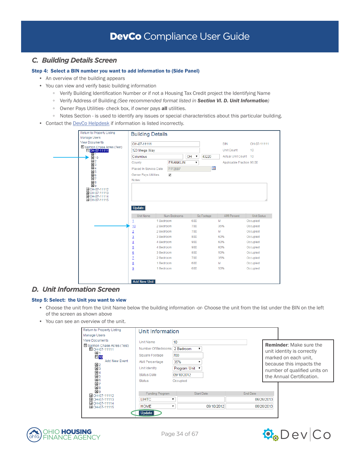### *C. Building Details Screen*

#### Step 4: Select a BIN number you want to add information to (Side Panel)

- An overview of the building appears
- You can view and verify basic building information
	- Verify Building Identification Number or if not a Housing Tax Credit project the Identifying Name
	- Verify Address of Building *(See recommended format listed in Section VI. D. Unit Information)*
	- Owner Pays Utilities- check box, if owner pays all utilities.
	- Notes Section is used to identify any issues or special characteristics about this particular building.
- Contact the [DevCo Helpdesk](http://devco.ohiohome.org/devcoinquiries/) if information is listed incorrectly.



### *D. Unit Information Screen*

#### Step 5: Select: the Unit you want to view

- Choose the unit from the Unit Name below the building information -or- Choose the unit from the list under the BIN on the left of the screen as shown above
- You can see an overview of the unit.

| Return to Property Listing                | Unit Information   |                   |                 |            |                                                              |
|-------------------------------------------|--------------------|-------------------|-----------------|------------|--------------------------------------------------------------|
| Manage Users                              |                    |                   |                 |            |                                                              |
| <b>View Documents</b>                     | <b>Unit Name</b>   | 10                |                 |            |                                                              |
| Salmon Chase Acres (Test)<br>DOH-07-11111 | Number Of Bedrooms | 2 Bedroom         |                 |            | <b>Reminder:</b> Make sure the<br>unit identity is correctly |
| ±1<br>$\blacksquare$ 10                   | Square Footage     | 700               |                 |            | marked on each unit.                                         |
| <b>Add New Event</b><br>≞ 2               | AMI Percentage     | 35%               |                 |            | because this impacts the                                     |
| $\pm$ 3                                   | Unit Identity      | Program Unit      |                 |            | number of qualified units on                                 |
| $\pm$ 4<br>$\pm$ 5                        | <b>Status Date</b> | 09/10/2012        |                 |            | the Annual Certification.                                    |
| 画6<br>±7                                  | Status             | Occupied          |                 |            |                                                              |
| $\pm$ 8                                   |                    |                   |                 |            |                                                              |
| $\pm$ 9<br>HOH-07-11112                   | Funding Program    | <b>Start Date</b> | <b>End Date</b> |            |                                                              |
| OH-07-11113                               | <b>LIHTC</b>       |                   |                 | 06/26/2013 |                                                              |
| OH-07-11114<br>OH-07-11115                | <b>HOME</b>        | 09/10/2012<br>▼   |                 | 06/26/2013 |                                                              |
|                                           | Update             |                   |                 |            |                                                              |